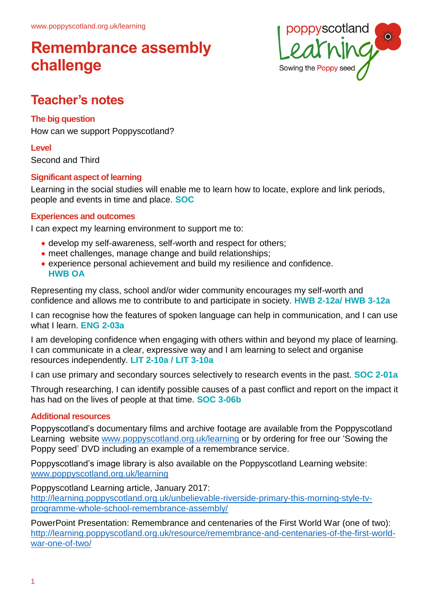

## **Teacher's notes**

### **The big question**

How can we support Poppyscotland?

### **Level**

Second and Third

### **Significant aspect of learning**

Learning in the social studies will enable me to learn how to locate, explore and link periods, people and events in time and place. **SOC**

### **Experiences and outcomes**

I can expect my learning environment to support me to:

- develop my self-awareness, self-worth and respect for others;
- meet challenges, manage change and build relationships;
- experience personal achievement and build my resilience and confidence. **HWB OA**

Representing my class, school and/or wider community encourages my self-worth and confidence and allows me to contribute to and participate in society. **HWB 2-12a/ HWB 3-12a**

I can recognise how the features of spoken language can help in communication, and I can use what I learn. **ENG 2-03a**

I am developing confidence when engaging with others within and beyond my place of learning. I can communicate in a clear, expressive way and I am learning to select and organise resources independently. **LIT 2-10a / LIT 3-10a**

I can use primary and secondary sources selectively to research events in the past. **SOC 2-01a**

Through researching, I can identify possible causes of a past conflict and report on the impact it has had on the lives of people at that time. **SOC 3-06b**

### **Additional resources**

Poppyscotland's documentary films and archive footage are available from the Poppyscotland Learning website [www.poppyscotland.org.uk/learning](http://www.poppyscotland.org.uk/learning) or by ordering for free our 'Sowing the Poppy seed' DVD including an example of a remembrance service.

Poppyscotland's image library is also available on the Poppyscotland Learning website: [www.poppyscotland.org.uk/learning](http://www.poppyscotland.org.uk/learning)

Poppyscotland Learning article, January 2017:

[http://learning.poppyscotland.org.uk/unbelievable-riverside-primary-this-morning-style-tv](http://learning.poppyscotland.org.uk/unbelievable-riverside-primary-this-morning-style-tv-programme-whole-school-remembrance-assembly/)[programme-whole-school-remembrance-assembly/](http://learning.poppyscotland.org.uk/unbelievable-riverside-primary-this-morning-style-tv-programme-whole-school-remembrance-assembly/)

PowerPoint Presentation: Remembrance and centenaries of the First World War (one of two): [http://learning.poppyscotland.org.uk/resource/remembrance-and-centenaries-of-the-first-world](http://learning.poppyscotland.org.uk/resource/remembrance-and-centenaries-of-the-first-world-war-one-of-two/)[war-one-of-two/](http://learning.poppyscotland.org.uk/resource/remembrance-and-centenaries-of-the-first-world-war-one-of-two/)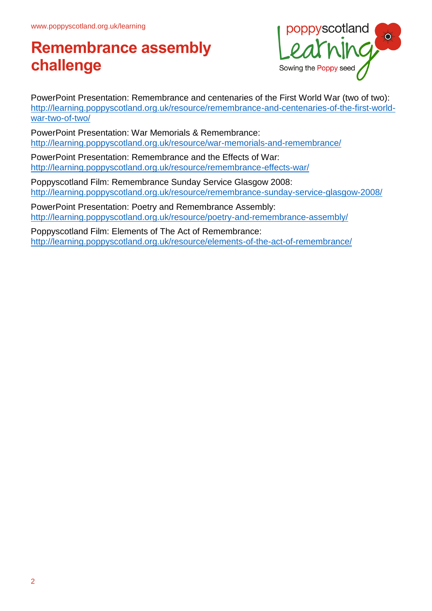

PowerPoint Presentation: Remembrance and centenaries of the First World War (two of two): [http://learning.poppyscotland.org.uk/resource/remembrance-and-centenaries-of-the-first-world](http://learning.poppyscotland.org.uk/resource/remembrance-and-centenaries-of-the-first-world-war-two-of-two/)[war-two-of-two/](http://learning.poppyscotland.org.uk/resource/remembrance-and-centenaries-of-the-first-world-war-two-of-two/)

PowerPoint Presentation: War Memorials & Remembrance: <http://learning.poppyscotland.org.uk/resource/war-memorials-and-remembrance/>

PowerPoint Presentation: Remembrance and the Effects of War: <http://learning.poppyscotland.org.uk/resource/remembrance-effects-war/>

Poppyscotland Film: Remembrance Sunday Service Glasgow 2008: <http://learning.poppyscotland.org.uk/resource/remembrance-sunday-service-glasgow-2008/>

PowerPoint Presentation: Poetry and Remembrance Assembly: <http://learning.poppyscotland.org.uk/resource/poetry-and-remembrance-assembly/>

Poppyscotland Film: Elements of The Act of Remembrance: <http://learning.poppyscotland.org.uk/resource/elements-of-the-act-of-remembrance/>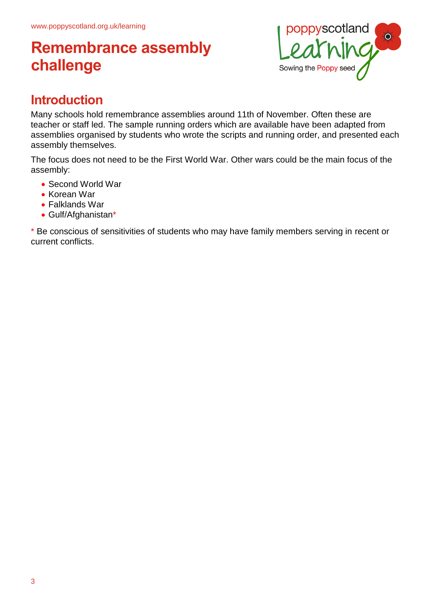

## **Introduction**

Many schools hold remembrance assemblies around 11th of November. Often these are teacher or staff led. The sample running orders which are available have been adapted from assemblies organised by students who wrote the scripts and running order, and presented each assembly themselves.

The focus does not need to be the First World War. Other wars could be the main focus of the assembly:

- Second World War
- Korean War
- Falklands War
- Gulf/Afghanistan\*

\* Be conscious of sensitivities of students who may have family members serving in recent or current conflicts.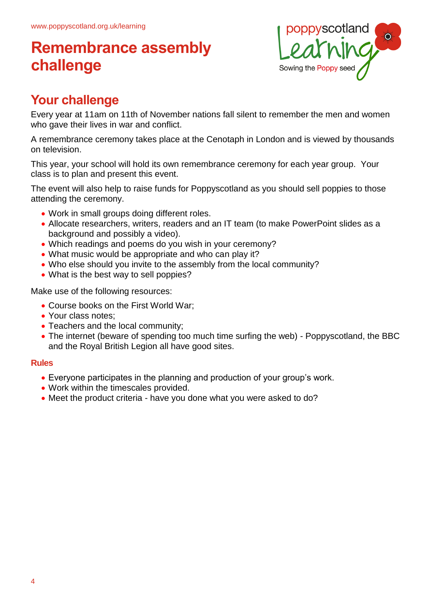

## **Your challenge**

Every year at 11am on 11th of November nations fall silent to remember the men and women who gave their lives in war and conflict.

A remembrance ceremony takes place at the Cenotaph in London and is viewed by thousands on television.

This year, your school will hold its own remembrance ceremony for each year group. Your class is to plan and present this event.

The event will also help to raise funds for Poppyscotland as you should sell poppies to those attending the ceremony.

- Work in small groups doing different roles.
- Allocate researchers, writers, readers and an IT team (to make PowerPoint slides as a background and possibly a video).
- Which readings and poems do you wish in your ceremony?
- What music would be appropriate and who can play it?
- Who else should you invite to the assembly from the local community?
- What is the best way to sell poppies?

Make use of the following resources:

- Course books on the First World War;
- Your class notes:
- Teachers and the local community;
- The internet (beware of spending too much time surfing the web) Poppyscotland, the BBC and the Royal British Legion all have good sites.

#### **Rules**

- Everyone participates in the planning and production of your group's work.
- Work within the timescales provided.
- Meet the product criteria have you done what you were asked to do?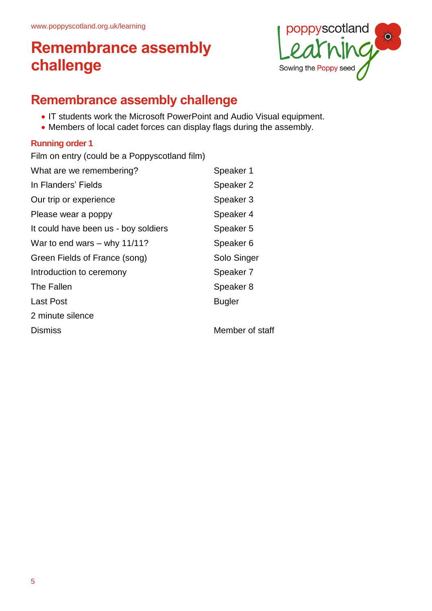

## **Remembrance assembly challenge**

- IT students work the Microsoft PowerPoint and Audio Visual equipment.
- Members of local cadet forces can display flags during the assembly.

### **Running order 1**

Film on entry (could be a Poppyscotland film) What are we remembering? Speaker 1 In Flanders' Fields Speaker 2

| Our trip or experience               | Speaker 3       |
|--------------------------------------|-----------------|
| Please wear a poppy                  | Speaker 4       |
| It could have been us - boy soldiers | Speaker 5       |
| War to end wars – why 11/11?         | Speaker 6       |
| Green Fields of France (song)        | Solo Singer     |
| Introduction to ceremony             | Speaker 7       |
| The Fallen                           | Speaker 8       |
| Last Post                            | <b>Bugler</b>   |
| 2 minute silence                     |                 |
| <b>Dismiss</b>                       | Member of staff |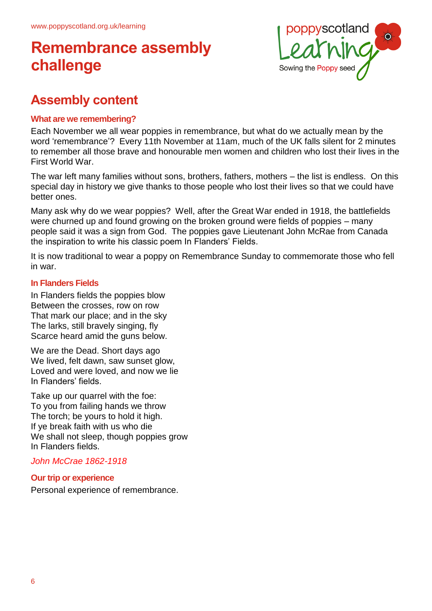

## **Assembly content**

#### **What are we remembering?**

Each November we all wear poppies in remembrance, but what do we actually mean by the word 'remembrance'? Every 11th November at 11am, much of the UK falls silent for 2 minutes to remember all those brave and honourable men women and children who lost their lives in the First World War.

The war left many families without sons, brothers, fathers, mothers – the list is endless. On this special day in history we give thanks to those people who lost their lives so that we could have better ones.

Many ask why do we wear poppies? Well, after the Great War ended in 1918, the battlefields were churned up and found growing on the broken ground were fields of poppies – many people said it was a sign from God. The poppies gave Lieutenant John McRae from Canada the inspiration to write his classic poem In Flanders' Fields.

It is now traditional to wear a poppy on Remembrance Sunday to commemorate those who fell in war.

#### **In Flanders Fields**

In Flanders fields the poppies blow Between the crosses, row on row That mark our place; and in the sky The larks, still bravely singing, fly Scarce heard amid the guns below.

We are the Dead. Short days ago We lived, felt dawn, saw sunset glow, Loved and were loved, and now we lie In Flanders' fields.

Take up our quarrel with the foe: To you from failing hands we throw The torch; be yours to hold it high. If ye break faith with us who die We shall not sleep, though poppies grow In Flanders fields.

#### *John McCrae 1862-1918*

#### **Our trip or experience**

Personal experience of remembrance.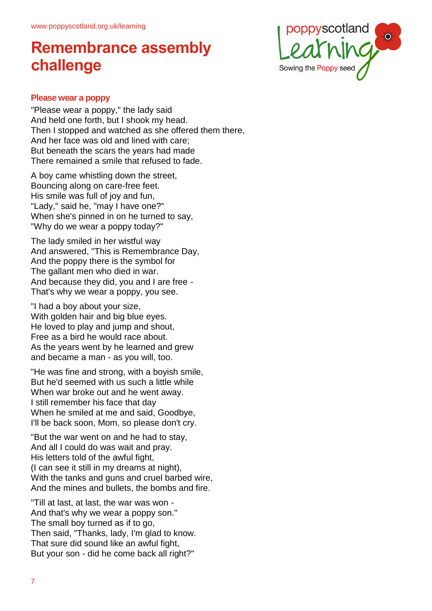

#### **Please wear a poppy**

"Please wear a poppy," the lady said And held one forth, but I shook my head. Then I stopped and watched as she offered them there, And her face was old and lined with care; But beneath the scars the years had made There remained a smile that refused to fade.

A boy came whistling down the street, Bouncing along on care-free feet. His smile was full of joy and fun, "Lady," said he, "may I have one?" When she's pinned in on he turned to say, "Why do we wear a poppy today?"

The lady smiled in her wistful way And answered, "This is Remembrance Day, And the poppy there is the symbol for The gallant men who died in war. And because they did, you and I are free - That's why we wear a poppy, you see.

"I had a boy about your size, With golden hair and big blue eyes. He loved to play and jump and shout, Free as a bird he would race about. As the years went by he learned and grew and became a man - as you will, too.

"He was fine and strong, with a boyish smile, But he'd seemed with us such a little while When war broke out and he went away. I still remember his face that day When he smiled at me and said, Goodbye, I'll be back soon, Mom, so please don't cry.

"But the war went on and he had to stay, And all I could do was wait and pray. His letters told of the awful fight, (I can see it still in my dreams at night), With the tanks and guns and cruel barbed wire, And the mines and bullets, the bombs and fire.

"Till at last, at last, the war was won - And that's why we wear a poppy son." The small boy turned as if to go, Then said, "Thanks, lady, I'm glad to know. That sure did sound like an awful fight, But your son - did he come back all right?"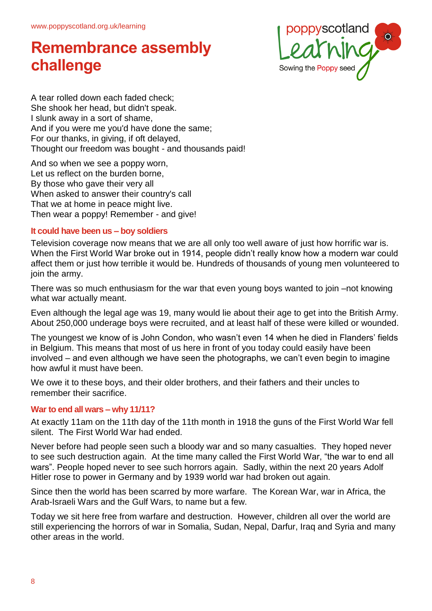

A tear rolled down each faded check; She shook her head, but didn't speak. I slunk away in a sort of shame, And if you were me you'd have done the same; For our thanks, in giving, if oft delayed, Thought our freedom was bought - and thousands paid!

And so when we see a poppy worn, Let us reflect on the burden borne, By those who gave their very all When asked to answer their country's call That we at home in peace might live. Then wear a poppy! Remember - and give!

#### **It could have been us – boy soldiers**

Television coverage now means that we are all only too well aware of just how horrific war is. When the First World War broke out in 1914, people didn't really know how a modern war could affect them or just how terrible it would be. Hundreds of thousands of young men volunteered to join the army.

There was so much enthusiasm for the war that even young boys wanted to join –not knowing what war actually meant.

Even although the legal age was 19, many would lie about their age to get into the British Army. About 250,000 underage boys were recruited, and at least half of these were killed or wounded.

The youngest we know of is John Condon, who wasn't even 14 when he died in Flanders' fields in Belgium. This means that most of us here in front of you today could easily have been involved – and even although we have seen the photographs, we can't even begin to imagine how awful it must have been.

We owe it to these boys, and their older brothers, and their fathers and their uncles to remember their sacrifice.

#### **War to end all wars – why 11/11?**

At exactly 11am on the 11th day of the 11th month in 1918 the guns of the First World War fell silent. The First World War had ended.

Never before had people seen such a bloody war and so many casualties. They hoped never to see such destruction again. At the time many called the First World War, "the war to end all wars". People hoped never to see such horrors again. Sadly, within the next 20 years Adolf Hitler rose to power in Germany and by 1939 world war had broken out again.

Since then the world has been scarred by more warfare. The Korean War, war in Africa, the Arab-Israeli Wars and the Gulf Wars, to name but a few.

Today we sit here free from warfare and destruction. However, children all over the world are still experiencing the horrors of war in Somalia, Sudan, Nepal, Darfur, Iraq and Syria and many other areas in the world.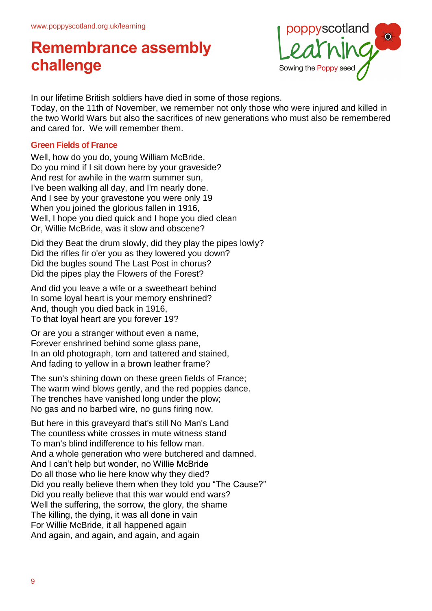

In our lifetime British soldiers have died in some of those regions.

Today, on the 11th of November, we remember not only those who were injured and killed in the two World Wars but also the sacrifices of new generations who must also be remembered and cared for. We will remember them.

#### **Green Fields of France**

Well, how do you do, young William McBride, Do you mind if I sit down here by your graveside? And rest for awhile in the warm summer sun, I've been walking all day, and I'm nearly done. And I see by your gravestone you were only 19 When you joined the glorious fallen in 1916, Well, I hope you died quick and I hope you died clean Or, Willie McBride, was it slow and obscene?

Did they Beat the drum slowly, did they play the pipes lowly? Did the rifles fir o'er you as they lowered you down? Did the bugles sound The Last Post in chorus? Did the pipes play the Flowers of the Forest?

And did you leave a wife or a sweetheart behind In some loyal heart is your memory enshrined? And, though you died back in 1916, To that loyal heart are you forever 19?

Or are you a stranger without even a name, Forever enshrined behind some glass pane, In an old photograph, torn and tattered and stained, And fading to yellow in a brown leather frame?

The sun's shining down on these green fields of France; The warm wind blows gently, and the red poppies dance. The trenches have vanished long under the plow; No gas and no barbed wire, no guns firing now.

But here in this graveyard that's still No Man's Land The countless white crosses in mute witness stand To man's blind indifference to his fellow man. And a whole generation who were butchered and damned. And I can't help but wonder, no Willie McBride Do all those who lie here know why they died? Did you really believe them when they told you "The Cause?" Did you really believe that this war would end wars? Well the suffering, the sorrow, the glory, the shame The killing, the dying, it was all done in vain For Willie McBride, it all happened again And again, and again, and again, and again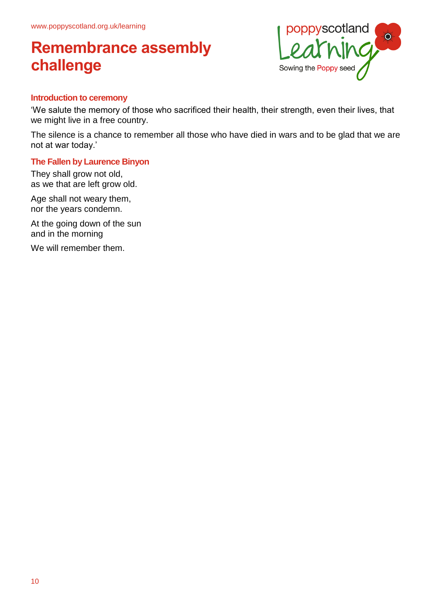

#### **Introduction to ceremony**

'We salute the memory of those who sacrificed their health, their strength, even their lives, that we might live in a free country.

The silence is a chance to remember all those who have died in wars and to be glad that we are not at war today.'

#### **The Fallen by Laurence Binyon**

They shall grow not old, as we that are left grow old.

Age shall not weary them, nor the years condemn.

At the going down of the sun and in the morning

We will remember them.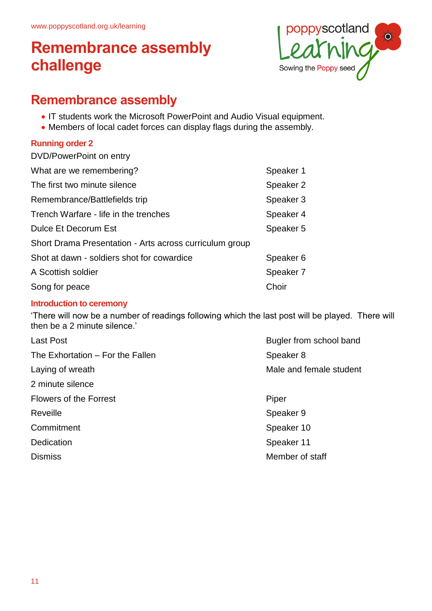

### **Remembrance assembly**

- IT students work the Microsoft PowerPoint and Audio Visual equipment.
- Members of local cadet forces can display flags during the assembly.

#### **Running order 2**

| DVD/PowerPoint on entry                                 |           |
|---------------------------------------------------------|-----------|
| What are we remembering?                                | Speaker 1 |
| The first two minute silence                            | Speaker 2 |
| Remembrance/Battlefields trip                           | Speaker 3 |
| Trench Warfare - life in the trenches                   | Speaker 4 |
| Dulce Et Decorum Est                                    | Speaker 5 |
| Short Drama Presentation - Arts across curriculum group |           |
| Shot at dawn - soldiers shot for cowardice              | Speaker 6 |
| A Scottish soldier                                      | Speaker 7 |
| Song for peace                                          | Choir     |

### **Introduction to ceremony**

'There will now be a number of readings following which the last post will be played. There will then be a 2 minute silence.'

| Last Post                        | Bugler from school band |
|----------------------------------|-------------------------|
| The Exhortation – For the Fallen | Speaker 8               |
| Laying of wreath                 | Male and female student |
| 2 minute silence                 |                         |
| <b>Flowers of the Forrest</b>    | Piper                   |
| Reveille                         | Speaker 9               |
| Commitment                       | Speaker 10              |
| Dedication                       | Speaker 11              |
| <b>Dismiss</b>                   | Member of staff         |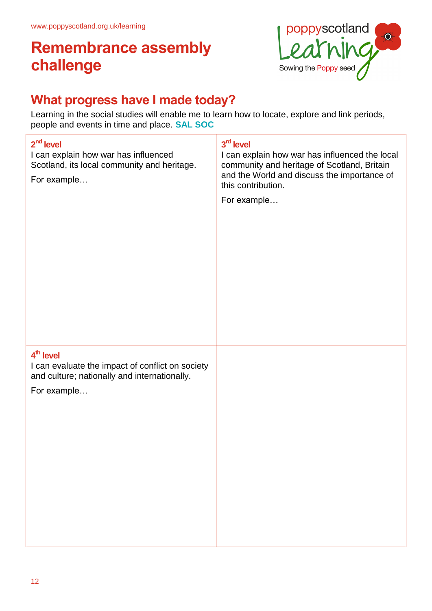

## **What progress have I made today?**

Learning in the social studies will enable me to learn how to locate, explore and link periods, people and events in time and place. **SAL SOC**

| 2 <sup>nd</sup> level<br>I can explain how war has influenced<br>Scotland, its local community and heritage.<br>For example              | 3rd level<br>I can explain how war has influenced the local<br>community and heritage of Scotland, Britain<br>and the World and discuss the importance of<br>this contribution.<br>For example |
|------------------------------------------------------------------------------------------------------------------------------------------|------------------------------------------------------------------------------------------------------------------------------------------------------------------------------------------------|
| 4 <sup>th</sup> level<br>I can evaluate the impact of conflict on society<br>and culture; nationally and internationally.<br>For example |                                                                                                                                                                                                |